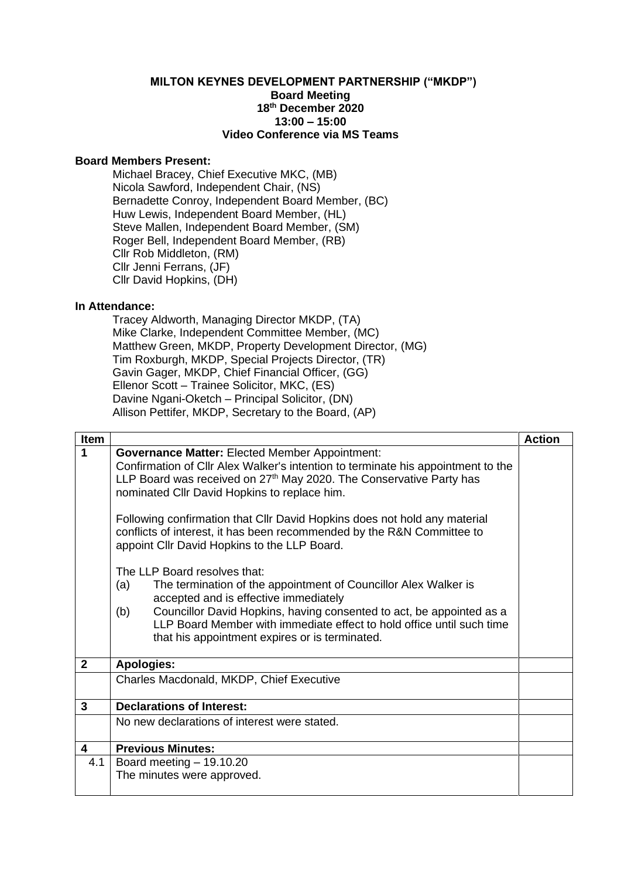## **MILTON KEYNES DEVELOPMENT PARTNERSHIP ("MKDP") Board Meeting 18th December 2020 13:00 – 15:00 Video Conference via MS Teams**

## **Board Members Present:**

Michael Bracey, Chief Executive MKC, (MB) Nicola Sawford, Independent Chair, (NS) Bernadette Conroy, Independent Board Member, (BC) Huw Lewis, Independent Board Member, (HL) Steve Mallen, Independent Board Member, (SM) Roger Bell, Independent Board Member, (RB) Cllr Rob Middleton, (RM) Cllr Jenni Ferrans, (JF) Cllr David Hopkins, (DH)

## **In Attendance:**

Tracey Aldworth, Managing Director MKDP, (TA) Mike Clarke, Independent Committee Member, (MC) Matthew Green, MKDP, Property Development Director, (MG) Tim Roxburgh, MKDP, Special Projects Director, (TR) Gavin Gager, MKDP, Chief Financial Officer, (GG) Ellenor Scott – Trainee Solicitor, MKC, (ES) Davine Ngani-Oketch – Principal Solicitor, (DN) Allison Pettifer, MKDP, Secretary to the Board, (AP)

| <b>Item</b>    |                                                                                                                                                                                                                                                                                                                                                                                                                                                                                                                                                                                                                                                                                                                                                                                                                                                  | <b>Action</b> |
|----------------|--------------------------------------------------------------------------------------------------------------------------------------------------------------------------------------------------------------------------------------------------------------------------------------------------------------------------------------------------------------------------------------------------------------------------------------------------------------------------------------------------------------------------------------------------------------------------------------------------------------------------------------------------------------------------------------------------------------------------------------------------------------------------------------------------------------------------------------------------|---------------|
| $\mathbf{1}$   | <b>Governance Matter: Elected Member Appointment:</b><br>Confirmation of Cllr Alex Walker's intention to terminate his appointment to the<br>LLP Board was received on 27 <sup>th</sup> May 2020. The Conservative Party has<br>nominated Cllr David Hopkins to replace him.<br>Following confirmation that Cllr David Hopkins does not hold any material<br>conflicts of interest, it has been recommended by the R&N Committee to<br>appoint Cllr David Hopkins to the LLP Board.<br>The LLP Board resolves that:<br>(a)<br>The termination of the appointment of Councillor Alex Walker is<br>accepted and is effective immediately<br>Councillor David Hopkins, having consented to act, be appointed as a<br>(b)<br>LLP Board Member with immediate effect to hold office until such time<br>that his appointment expires or is terminated. |               |
| $\overline{2}$ | <b>Apologies:</b>                                                                                                                                                                                                                                                                                                                                                                                                                                                                                                                                                                                                                                                                                                                                                                                                                                |               |
|                | Charles Macdonald, MKDP, Chief Executive                                                                                                                                                                                                                                                                                                                                                                                                                                                                                                                                                                                                                                                                                                                                                                                                         |               |
| 3              | <b>Declarations of Interest:</b>                                                                                                                                                                                                                                                                                                                                                                                                                                                                                                                                                                                                                                                                                                                                                                                                                 |               |
|                | No new declarations of interest were stated.                                                                                                                                                                                                                                                                                                                                                                                                                                                                                                                                                                                                                                                                                                                                                                                                     |               |
| 4              | <b>Previous Minutes:</b>                                                                                                                                                                                                                                                                                                                                                                                                                                                                                                                                                                                                                                                                                                                                                                                                                         |               |
| 4.1            | Board meeting $-19.10.20$                                                                                                                                                                                                                                                                                                                                                                                                                                                                                                                                                                                                                                                                                                                                                                                                                        |               |
|                | The minutes were approved.                                                                                                                                                                                                                                                                                                                                                                                                                                                                                                                                                                                                                                                                                                                                                                                                                       |               |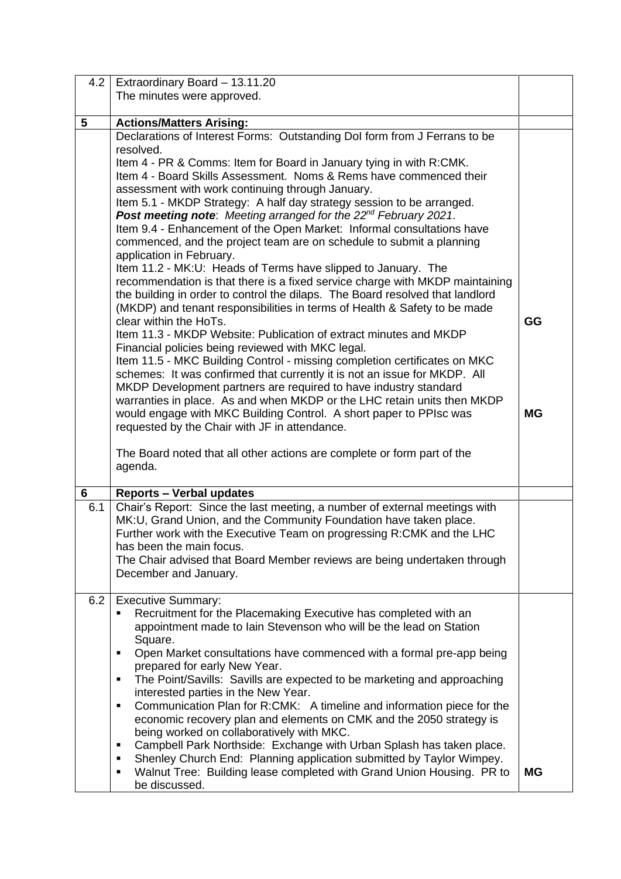| 4.2 | Extraordinary Board - 13.11.20                                                                                                                             |           |
|-----|------------------------------------------------------------------------------------------------------------------------------------------------------------|-----------|
|     | The minutes were approved.                                                                                                                                 |           |
|     |                                                                                                                                                            |           |
| 5   | <b>Actions/Matters Arising:</b>                                                                                                                            |           |
|     | Declarations of Interest Forms: Outstanding DoI form from J Ferrans to be<br>resolved.                                                                     |           |
|     | Item 4 - PR & Comms: Item for Board in January tying in with R:CMK.                                                                                        |           |
|     | Item 4 - Board Skills Assessment. Noms & Rems have commenced their                                                                                         |           |
|     | assessment with work continuing through January.                                                                                                           |           |
|     | Item 5.1 - MKDP Strategy: A half day strategy session to be arranged.                                                                                      |           |
|     | Post meeting note: Meeting arranged for the 22 <sup>nd</sup> February 2021.                                                                                |           |
|     | Item 9.4 - Enhancement of the Open Market: Informal consultations have                                                                                     |           |
|     | commenced, and the project team are on schedule to submit a planning                                                                                       |           |
|     | application in February.                                                                                                                                   |           |
|     | Item 11.2 - MK:U: Heads of Terms have slipped to January. The                                                                                              |           |
|     | recommendation is that there is a fixed service charge with MKDP maintaining                                                                               |           |
|     | the building in order to control the dilaps. The Board resolved that landlord<br>(MKDP) and tenant responsibilities in terms of Health & Safety to be made |           |
|     | clear within the HoTs.                                                                                                                                     | GG        |
|     | Item 11.3 - MKDP Website: Publication of extract minutes and MKDP                                                                                          |           |
|     | Financial policies being reviewed with MKC legal.                                                                                                          |           |
|     | Item 11.5 - MKC Building Control - missing completion certificates on MKC                                                                                  |           |
|     | schemes: It was confirmed that currently it is not an issue for MKDP. All                                                                                  |           |
|     | MKDP Development partners are required to have industry standard                                                                                           |           |
|     | warranties in place. As and when MKDP or the LHC retain units then MKDP                                                                                    |           |
|     | would engage with MKC Building Control. A short paper to PPIsc was                                                                                         | <b>MG</b> |
|     | requested by the Chair with JF in attendance.                                                                                                              |           |
|     | The Board noted that all other actions are complete or form part of the                                                                                    |           |
|     | agenda.                                                                                                                                                    |           |
|     |                                                                                                                                                            |           |
| 6   | <b>Reports - Verbal updates</b>                                                                                                                            |           |
| 6.1 | Chair's Report: Since the last meeting, a number of external meetings with                                                                                 |           |
|     | MK:U, Grand Union, and the Community Foundation have taken place.                                                                                          |           |
|     | Further work with the Executive Team on progressing R:CMK and the LHC                                                                                      |           |
|     | has been the main focus.<br>The Chair advised that Board Member reviews are being undertaken through                                                       |           |
|     | December and January.                                                                                                                                      |           |
|     |                                                                                                                                                            |           |
| 6.2 | <b>Executive Summary:</b>                                                                                                                                  |           |
|     | Recruitment for the Placemaking Executive has completed with an                                                                                            |           |
|     | appointment made to Iain Stevenson who will be the lead on Station                                                                                         |           |
|     | Square.                                                                                                                                                    |           |
|     | Open Market consultations have commenced with a formal pre-app being<br>$\blacksquare$                                                                     |           |
|     | prepared for early New Year.<br>The Point/Savills: Savills are expected to be marketing and approaching<br>٠                                               |           |
|     | interested parties in the New Year.                                                                                                                        |           |
|     | Communication Plan for R:CMK: A timeline and information piece for the<br>٠                                                                                |           |
|     | economic recovery plan and elements on CMK and the 2050 strategy is                                                                                        |           |
|     | being worked on collaboratively with MKC.                                                                                                                  |           |
|     | Campbell Park Northside: Exchange with Urban Splash has taken place.<br>п                                                                                  |           |
|     | Shenley Church End: Planning application submitted by Taylor Wimpey.<br>п                                                                                  |           |
|     | Walnut Tree: Building lease completed with Grand Union Housing. PR to<br>٠<br>be discussed.                                                                | <b>MG</b> |
|     |                                                                                                                                                            |           |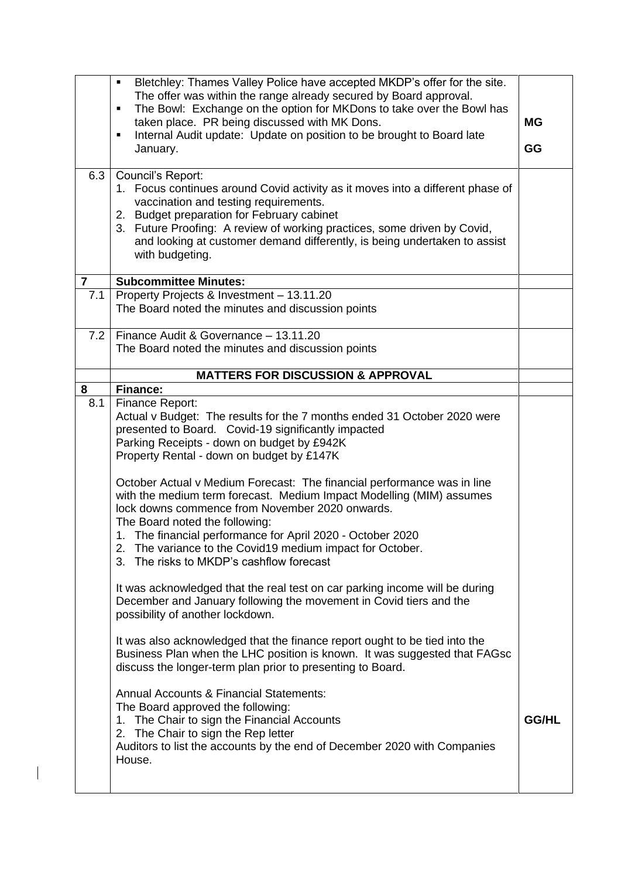| 6.3            | Bletchley: Thames Valley Police have accepted MKDP's offer for the site.<br>$\blacksquare$<br>The offer was within the range already secured by Board approval.<br>The Bowl: Exchange on the option for MKDons to take over the Bowl has<br>٠<br>taken place. PR being discussed with MK Dons.<br>Internal Audit update: Update on position to be brought to Board late<br>٠<br>January.<br>Council's Report:<br>1. Focus continues around Covid activity as it moves into a different phase of<br>vaccination and testing requirements.<br>2. Budget preparation for February cabinet<br>3. Future Proofing: A review of working practices, some driven by Covid, | <b>MG</b><br>GG |
|----------------|--------------------------------------------------------------------------------------------------------------------------------------------------------------------------------------------------------------------------------------------------------------------------------------------------------------------------------------------------------------------------------------------------------------------------------------------------------------------------------------------------------------------------------------------------------------------------------------------------------------------------------------------------------------------|-----------------|
|                | and looking at customer demand differently, is being undertaken to assist<br>with budgeting.                                                                                                                                                                                                                                                                                                                                                                                                                                                                                                                                                                       |                 |
| $\overline{7}$ | <b>Subcommittee Minutes:</b>                                                                                                                                                                                                                                                                                                                                                                                                                                                                                                                                                                                                                                       |                 |
| 7.1            | Property Projects & Investment - 13.11.20<br>The Board noted the minutes and discussion points                                                                                                                                                                                                                                                                                                                                                                                                                                                                                                                                                                     |                 |
| 7.2            | Finance Audit & Governance - 13.11.20<br>The Board noted the minutes and discussion points                                                                                                                                                                                                                                                                                                                                                                                                                                                                                                                                                                         |                 |
|                | <b>MATTERS FOR DISCUSSION &amp; APPROVAL</b>                                                                                                                                                                                                                                                                                                                                                                                                                                                                                                                                                                                                                       |                 |
| 8              | <b>Finance:</b>                                                                                                                                                                                                                                                                                                                                                                                                                                                                                                                                                                                                                                                    |                 |
| 8.1            | Finance Report:<br>Actual v Budget: The results for the 7 months ended 31 October 2020 were<br>presented to Board. Covid-19 significantly impacted<br>Parking Receipts - down on budget by £942K<br>Property Rental - down on budget by £147K                                                                                                                                                                                                                                                                                                                                                                                                                      |                 |
|                | October Actual v Medium Forecast: The financial performance was in line<br>with the medium term forecast. Medium Impact Modelling (MIM) assumes<br>lock downs commence from November 2020 onwards.<br>The Board noted the following:<br>1. The financial performance for April 2020 - October 2020<br>The variance to the Covid19 medium impact for October.<br>2.                                                                                                                                                                                                                                                                                                 |                 |
|                | The risks to MKDP's cashflow forecast<br>3.                                                                                                                                                                                                                                                                                                                                                                                                                                                                                                                                                                                                                        |                 |
|                | It was acknowledged that the real test on car parking income will be during<br>December and January following the movement in Covid tiers and the<br>possibility of another lockdown.                                                                                                                                                                                                                                                                                                                                                                                                                                                                              |                 |
|                | It was also acknowledged that the finance report ought to be tied into the<br>Business Plan when the LHC position is known. It was suggested that FAGsc<br>discuss the longer-term plan prior to presenting to Board.                                                                                                                                                                                                                                                                                                                                                                                                                                              |                 |
|                | <b>Annual Accounts &amp; Financial Statements:</b><br>The Board approved the following:<br>1. The Chair to sign the Financial Accounts<br>2. The Chair to sign the Rep letter<br>Auditors to list the accounts by the end of December 2020 with Companies<br>House.                                                                                                                                                                                                                                                                                                                                                                                                | <b>GG/HL</b>    |

 $\begin{array}{c} \hline \end{array}$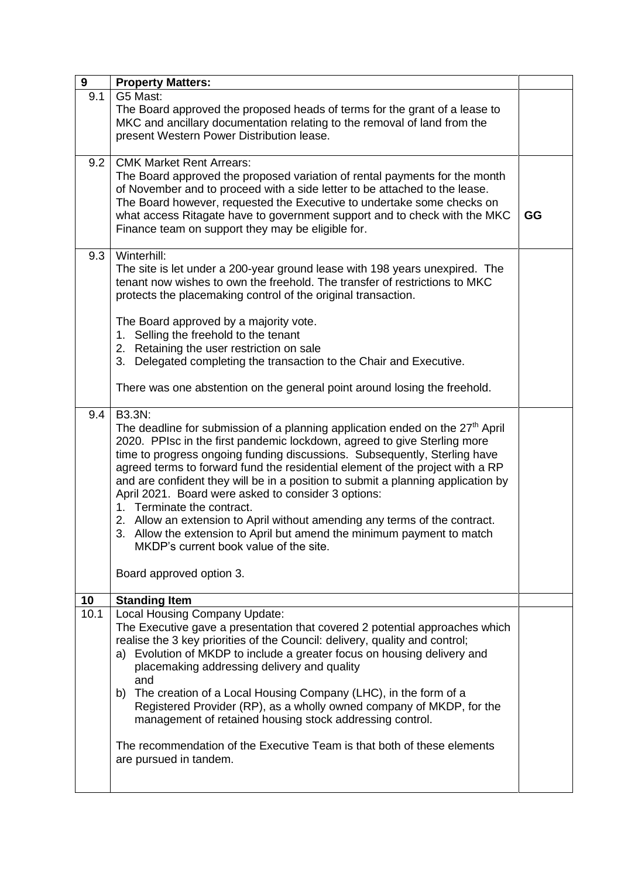| GG |
|----|
|    |
|    |
|    |
|    |
|    |